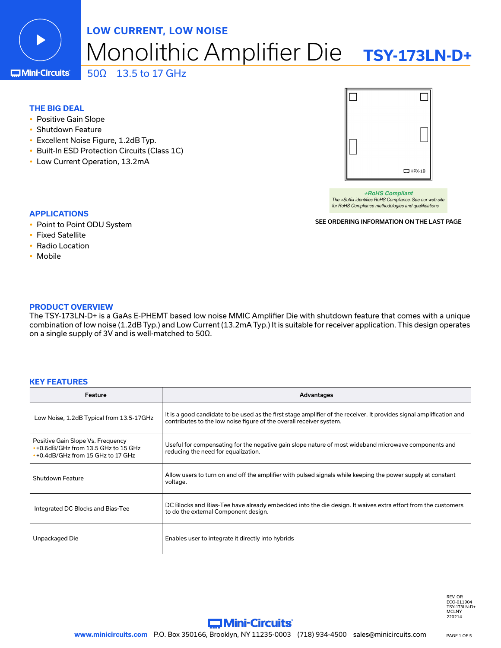

# Monolithic Amplifier Die **TSY-173LN-D+ LOW CURRENT, LOW NOISE** 50Ω 13.5 to 17 GHz

**C**Mini-Circuits

# **THE BIG DEAL**

- Positive Gain Slope
- Shutdown Feature
- Excellent Noise Figure, 1.2dB Typ.
- Built-In ESD Protection Circuits (Class 1C)
- Low Current Operation, 13.2mA



*+RoHS Compliant The +Suffix identifies RoHS Compliance. See our web site for RoHS Compliance methodologies and qualifications*

SEE ORDERING INFORMATION ON THE LAST PAGE

- **APPLICATIONS**
- Point to Point ODU System
- Fixed Satellite
- Radio Location
- Mobile

# **PRODUCT OVERVIEW**

The TSY-173LN-D+ is a GaAs E-PHEMT based low noise MMIC Amplifier Die with shutdown feature that comes with a unique combination of low noise (1.2dB Typ.) and Low Current (13.2mA Typ.) It is suitable for receiver application. This design operates on a single supply of 3V and is well-matched to 50Ω.

## **KEY FEATURES**

| <b>Feature</b>                                                                                                        | <b>Advantages</b>                                                                                                                                                                           |
|-----------------------------------------------------------------------------------------------------------------------|---------------------------------------------------------------------------------------------------------------------------------------------------------------------------------------------|
| Low Noise, 1.2dB Typical from 13.5-17GHz                                                                              | It is a good candidate to be used as the first stage amplifier of the receiver. It provides signal amplification and<br>contributes to the low noise figure of the overall receiver system. |
| Positive Gain Slope Vs. Frequency<br>$\cdot$ +0.6dB/GHz from 13.5 GHz to 15 GHz<br>• +0.4dB/GHz from 15 GHz to 17 GHz | Useful for compensating for the negative gain slope nature of most wideband microwave components and<br>reducing the need for equalization.                                                 |
| Shutdown Feature                                                                                                      | Allow users to turn on and off the amplifier with pulsed signals while keeping the power supply at constant<br>voltage.                                                                     |
| Integrated DC Blocks and Bias-Tee                                                                                     | DC Blocks and Bias-Tee have already embedded into the die design. It waives extra effort from the customers<br>to do the external Component design.                                         |
| Unpackaged Die                                                                                                        | Enables user to integrate it directly into hybrids                                                                                                                                          |

REV. OR ECO-011904 TSY-173LN-D+ **MCLNY** 220214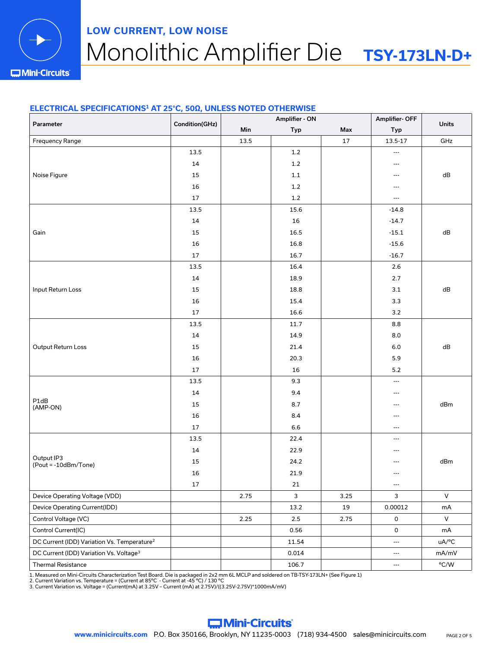

# Monolithic Amplifier Die **TSY-173LN-D+ LOW CURRENT, LOW NOISE**

**IMini-Circuits** 

# **ELECTRICAL SPECIFICATIONS1 AT 25°C, 50Ω, UNLESS NOTED OTHERWISE**

| Parameter                                               | Condition(GHz) | Amplifier - ON |         |      | Amplifier-OFF            | <b>Units</b> |
|---------------------------------------------------------|----------------|----------------|---------|------|--------------------------|--------------|
|                                                         |                | Min            | Typ     | Max  | Typ                      |              |
| Frequency Range                                         |                | 13.5           |         | 17   | 13.5-17                  | GHz          |
|                                                         | 13.5           |                | $1.2\,$ |      | ---                      |              |
|                                                         | 14             |                | $1.2\,$ |      | $\hspace{0.05cm} \ldots$ |              |
| Noise Figure                                            | 15             |                | $1.1\,$ |      | $\qquad \qquad -$        | ${\sf dB}$   |
|                                                         | 16             |                | $1.2$   |      | ---                      |              |
|                                                         | $17\,$         |                | $1.2\,$ |      | $\overline{\phantom{a}}$ |              |
|                                                         | 13.5           |                | 15.6    |      | $-14.8$                  |              |
|                                                         | 14             |                | 16      |      | $-14.7$                  |              |
| Gain                                                    | 15             |                | 16.5    |      | $-15.1$                  | ${\sf dB}$   |
|                                                         | 16             |                | 16.8    |      | $-15.6$                  |              |
|                                                         | 17             |                | 16.7    |      | $-16.7$                  |              |
|                                                         | 13.5           |                | 16.4    |      | $2.6\,$                  |              |
|                                                         | 14             |                | 18.9    |      | 2.7                      |              |
| Input Return Loss                                       | 15             |                | 18.8    |      | $3.1\,$                  | ${\sf dB}$   |
|                                                         | 16             |                | 15.4    |      | 3.3                      |              |
|                                                         | 17             |                | 16.6    |      | $3.2\,$                  |              |
|                                                         | 13.5           |                | 11.7    |      | 8.8                      |              |
|                                                         | 14             |                | 14.9    |      | 8.0                      |              |
| Output Return Loss                                      | 15             |                | 21.4    |      | $6.0\,$                  | ${\sf dB}$   |
|                                                         | 16             |                | 20.3    |      | 5.9                      |              |
|                                                         | 17             |                | 16      |      | $5.2\,$                  |              |
|                                                         | 13.5           |                | 9.3     |      | $\hspace{0.05cm} \ldots$ |              |
|                                                         | 14             |                | 9.4     |      | ---                      |              |
| P1dB<br>(AMP-ON)                                        | 15             |                | 8.7     |      | $\hspace{0.05cm} \ldots$ | dBm          |
|                                                         | 16             |                | 8.4     |      | $\qquad \qquad -$        |              |
|                                                         | 17             |                | 6.6     |      | $\hspace{0.05cm} \ldots$ |              |
|                                                         | 13.5           |                | 22.4    |      | $\overline{\phantom{a}}$ |              |
|                                                         | 14             |                | 22.9    |      | $---$                    |              |
| Output IP3<br>(Pout = -10dBm/Tone)                      | 15             |                | 24.2    |      | ---                      | dBm          |
|                                                         | 16             |                | 21.9    |      | ---                      |              |
|                                                         | 17             |                | $21\,$  |      | $\hspace{0.05cm} \cdots$ |              |
| Device Operating Voltage (VDD)                          |                | 2.75           | 3       | 3.25 | 3                        | $\mathsf{V}$ |
| Device Operating Current(IDD)                           |                |                | 13.2    | 19   | 0.00012                  | $mA$         |
| Control Voltage (VC)                                    |                | 2.25           | $2.5\,$ | 2.75 | $\mathsf{O}\xspace$      | $\vee$       |
| Control Current(IC)                                     |                |                | 0.56    |      | 0                        | mA           |
| DC Current (IDD) Variation Vs. Temperature <sup>2</sup> |                |                | 11.54   |      | $\ldots$                 | uA/°C        |
| DC Current (IDD) Variation Vs. Voltage <sup>3</sup>     |                |                | 0.014   |      | $\hspace{0.05cm} \ldots$ | mA/mV        |
| Thermal Resistance                                      |                |                | 106.7   |      | $\scriptstyle\cdots$     | °C/W         |

1. Measured on Mini-Circuits Characterization Test Board. Die is packaged in 2x2 mm 6L MCLP and soldered on TB-TSY-173LN+ (See Figure 1)<br>2. Current Variation vs. Temperature = (Current at 85°C - Current at -45 °C) / 130 °C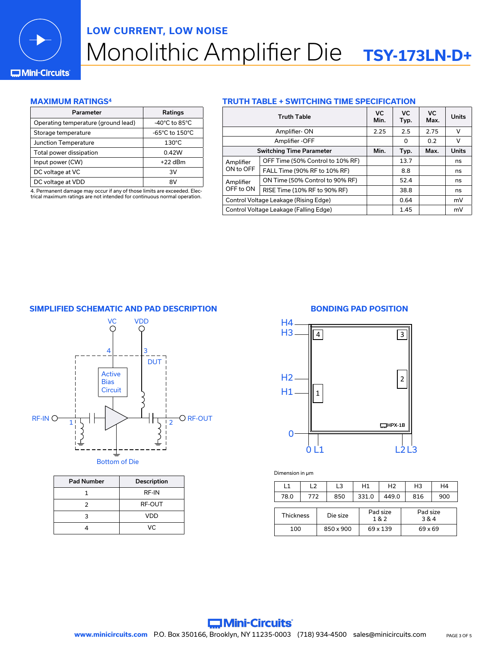

# Monolithic Amplifier Die **TSY-173LN-D+ LOW CURRENT, LOW NOISE**

# **Mini-Circuits**

# **MAXIMUM RATINGS4**

| Parameter                           | Ratings                            |
|-------------------------------------|------------------------------------|
| Operating temperature (ground lead) | $-40^{\circ}$ C to 85 $^{\circ}$ C |
| Storage temperature                 | -65°C to 150°C                     |
| Junction Temperature                | $130^{\circ}$ C                    |
| Total power dissipation             | 0.42W                              |
| Input power (CW)                    | $+22$ dBm                          |
| DC voltage at VC                    | зv                                 |
| DC voltage at VDD                   | R٧                                 |

4. Permanent damage may occur if any of those limits are exceeded. Electrical maximum ratings are not intended for continuous normal operation.

## **TRUTH TABLE + SWITCHING TIME SPECIFICATION**

| <b>Truth Table</b>                           |                                  |      | <b>VC</b><br>Typ. | <b>VC</b><br>Max. | <b>Units</b> |
|----------------------------------------------|----------------------------------|------|-------------------|-------------------|--------------|
|                                              | Amplifier-ON                     | 2.25 | 2.5               | 2.75              | v            |
| Amplifier - OFF                              |                                  |      | 0                 | 0.2               | v            |
|                                              | <b>Switching Time Parameter</b>  | Min. | Typ.              | Max.              | <b>Units</b> |
| Amplifier<br>ON to OFF                       | OFF Time (50% Control to 10% RF) |      | 13.7              |                   | ns           |
|                                              | FALL Time (90% RF to 10% RF)     |      | 8.8               |                   | ns           |
| ON Time (50% Control to 90% RF)<br>Amplifier |                                  |      | 52.4              |                   | ns           |
| OFF to ON                                    | RISE Time (10% RF to 90% RF)     |      | 38.8              |                   | ns           |
| Control Voltage Leakage (Rising Edge)        |                                  | 0.64 |                   | mV                |              |
| Control Voltage Leakage (Falling Edge)       |                                  | 1.45 |                   | mV                |              |
|                                              |                                  |      |                   |                   |              |

# **SIMPLIFIED SCHEMATIC AND PAD DESCRIPTION BONDING PAD POSITION**



| <b>Pad Number</b> | <b>Description</b> |
|-------------------|--------------------|
|                   | RF-IN              |
|                   | RF-OUT             |
|                   | VDD                |
|                   |                    |

 $\overline{\phantom{0}}$ VDD

# 0 0L<sub>1</sub> H1 H<sub>2</sub> H3 H4  $L2L3$ 1 2 4 3 **HPX-1B**

Dimension in µm

| L1   | L2                                              |  | L3        | H1              | H <sub>2</sub> | H <sub>3</sub> | H4  |
|------|-------------------------------------------------|--|-----------|-----------------|----------------|----------------|-----|
| 78.0 | 772                                             |  | 850       | 331.0           | 449.0          | 816            | 900 |
|      | Pad size<br><b>Thickness</b><br>Die size<br>1&2 |  |           | Pad size<br>3&4 |                |                |     |
| 100  |                                                 |  | 850 x 900 |                 | 69 x 139       | 69 x 69        |     |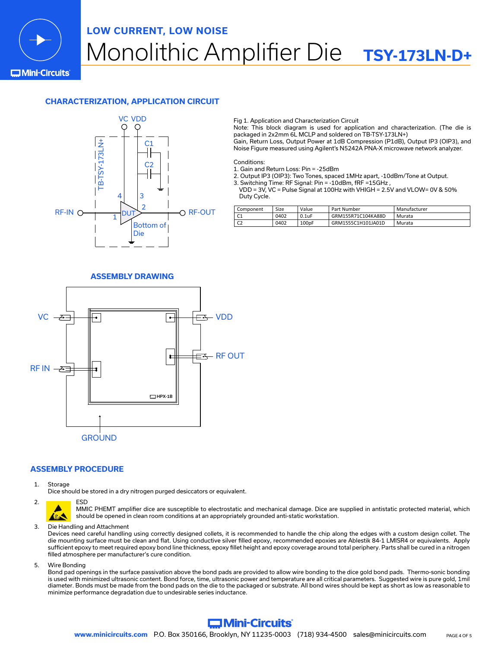

# Monolithic Amplifier Die **TSY-173LN-D+ LOW CURRENT, LOW NOISE** Bottom of Die **CHARGE OF STREET STREET**

**C**Mini-Circuits

# **CHARACTERIZATION, APPLICATION CIRCUIT**



Fig 1. Application and Characterization Circuit iza<br>İza

Note: This block diagram is used for application and characterization. (The die is Note: This block diagram is used for application and charac<br>packaged in 2x2mm 6L MCLP and soldered on TB-TSY-173LN+)<br>D.

Gain, Return Loss, Output Power at 1dB Compression (P1dB), Output IP3 (OIP3), and atan, notam 2007 output 1 0 noi at 200 ounproseson (1 2007) output in 6 (6 noi), 2<br>Noise Figure measured using Agilent's N5242A PNA-X microwave network analyzer.

Conditions:

- 1. Gain and Return Loss: Pin = -25dBm RF-IN DUT <sup>1</sup> RF-OUT <sup>2</sup>
- 1. Gain and Return Loss. Pin -25dBin<br>2. Output IP3 (OIP3): Two Tones, spaced 1MHz apart, -10dBm/Tone at Output.
- 3. Switching Time: RF Signal: Pin = -10dBm, fRF =15GHz , Die

 VDD = 3V, VC = Pulse Signal at 100Hz with VHIGH = 2.5V and VLOW= 0V & 50% Duty Cycle.

| Component    | Size | Value             | Part Number        | Manufacturer |
|--------------|------|-------------------|--------------------|--------------|
| ◡            | 0402 | 0.1uF             | GRM155R71C104KA88D | Murata       |
| $\sim$<br>◡▵ | 0402 | 100 <sub>pF</sub> | GRM1555C1H101JA01D | Murata       |

# **ASSEMBLY DRAWING**



## **ASSEMBLY PROCEDURE**

1. Storage

Dice should be stored in a dry nitrogen purged desiccators or equivalent.



MMIC PHEMT amplifier dice are susceptible to electrostatic and mechanical damage. Dice are supplied in antistatic protected material, which should be opened in clean room conditions at an appropriately grounded anti-static workstation.

3. Die Handling and Attachment

Devices need careful handling using correctly designed collets, it is recommended to handle the chip along the edges with a custom design collet. The die mounting surface must be clean and flat. Using conductive silver filled epoxy, recommended epoxies are Ablestik 84-1 LMISR4 or equivalents. Apply sufficient epoxy to meet required epoxy bond line thickness, epoxy fillet height and epoxy coverage around total periphery. Parts shall be cured in a nitrogen filled atmosphere per manufacturer's cure condition.

5. Wire Bonding

Bond pad openings in the surface passivation above the bond pads are provided to allow wire bonding to the dice gold bond pads. Thermo-sonic bonding is used with minimized ultrasonic content. Bond force, time, ultrasonic power and temperature are all critical parameters. Suggested wire is pure gold, 1mil diameter. Bonds must be made from the bond pads on the die to the packaged or substrate. All bond wires should be kept as short as low as reasonable to minimize performance degradation due to undesirable series inductance.

# **Commission Mini-Circuits**